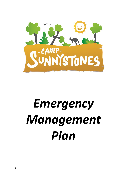

# *Emergency Management Plan*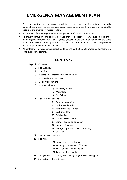# **EMERGENCY MANAGEMENT PLAN**

- To ensure that the correct response is made to any emergency situation that may arise in the camp, all Camp Sunnystones user groups are requested to make themselves familiar with the details of the emergency response plan.
- In the event of any emergency Camp Sunnystones staff should be informed.
- To prevent confusion and to make best use of available resources, any situation requiring an emergency response i.e. accident, gas leak, lost child, etc. should be handled by the Camp Sunnystones owners or Group Leaders. This will enable immediate assistance to be provided and an appropriate response planned.
- **All contact with emergency services should be done by the Camp Sunnystones owners where** time/availability permits.

#### *CONTENTS*

#### **Page 2** Contents

- Site Overview
- Floor Plan
- What to Do? Emergency Phone Numbers
- Roles and Responsibilities
- Media Management
- Routine Incidents
	- Electricity failure
	- Water loss
	- Gas failure
- Non Routine Incidents
	- General evacuations
	- Bushfire code red days
	- Bushfire at the camp site
	- Bushfire offsite
	- Building fire
	- Lost or missing camper
	- Camper abduction or assault
	- Hostage situation
	- Injury/camper illness/Near drowning
	- Gas leak
- Post emergency debrief
- Site Plan
- Evacuation assembly areas
- Water, gas, power cut off points
- Location fire fighting appliances
- Location of first aid kits
- Sunnystones staff emergency training program/Reviewing plan
- Sunnystones Phone Directory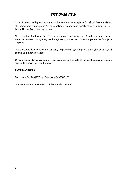#### *SITE OVERVIEW*

Camp Sunnystones is group accommodation venue situated approx. 7km from Bacchus Marsh. The homestead is a unique  $21^{st}$  century solid rock complex set on 50 acres overseeing the Long Forest Nature Conservation Reserve.

The camp building has all facilities under the one roof, including, 10 bedrooms each having their own ensuite, dining area, two lounge areas, kitchen and sunroom (please see floor plan on page).

The areas outside include a large car park, BBQ area with gas BBQ and seating, beach volleyball court and initiative activities.

Other areas onsite include two low ropes courses to the south of the building, and a canoeing lake and archery course to the east.

#### **CAMP MANAGERS**:

Matt Hope 0414401279 or Kate Hope 0458507 136

64 Possumtail Run 250m south of the main homestead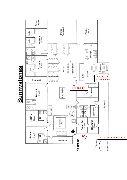

# **Sunnystones**

**-**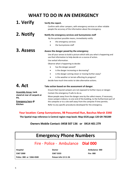# **WHAT TO DO IN AN EMERGENCY**

#### **1. Verify Verify the report.**

Confirm with other campers, with emergency services or other reliable people the accuracy of the information about the emergency.

#### **2. Notify Notify the emergency services and Sunnystones staff**

By the quickest possible means, immediately notify:

- the emergency services
- the Sunnystones staff

#### **3. Assess Assess the danger posed by the emergency**

Use all your senses to build a picture which tells you what is happening and use that information to help decide on a course of action.

Use verbal information.

Observe what is happening to decide:

- has the danger passed?
- is the danger increasing or decreasing?
- is the danger coming closer or moving further away?
- is the weather or terrain affecting its progress?

decide how much time exists to take alternative actions.

### **4. Act**

#### **Take action based on the assessment of danger**.

**Assembly Areas: tank stand at rear of carpark or Pit. Emergency horn @ Kitchen** Ensure that injured campers are not exposed to further injury or danger. Contain the emergency if safe to do so. Move people away from the danger area by the safest means, if necessary, move campers indoors, to one end of the building, to the furthermost part of the campsite or to a site well away from the campsite if time permits. Refer to any specific procedures developed for the emergency.

#### **Your location: Camp Sunnystones, 98 Possumtail Run, Bacchus Marsh 3340**

**The Spatial map reference is Central region map book: Map 6526 page 120 GR-783289**

**Owners Mobile Contact: 0458 507 136 or 0414 401 279**

| <b>Emergency Phone Numbers</b>     |                      |                 |  |
|------------------------------------|----------------------|-----------------|--|
| Fire - Police - Ambulance Dial 000 |                      |                 |  |
| Hospital                           | <b>Doctor</b>        | Ambulance 000   |  |
| 5367 2000                          | 53673333             | <b>Fire 000</b> |  |
| Police 000 or 5366 4500            | Poison Info 13 11 26 |                 |  |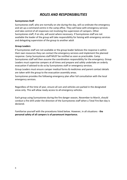#### *ROLES AND RESPONSIBILITIES*

#### **Sunnystones Staff**

Sunnystones staff, who are normally on site during the day, will co-ordinate the emergency and set up a command centre in the camp office. They will liaise with emergency services and take control of all responses not involving the supervision of campers. Other Sunnystones staff, if on site, will assist where necessary. If Sunnystones staff are not available the leader of the group will take responsibility for liaising with emergency services and delegating supervision of the group to another adult

#### **Group Leaders**

If Sunnystones staff are not available or the group leader believes the response is within their own resources they can contact the emergency services and implement the planned response. Camp Sunnystones staff MUST be notified as soon as practicable. Camp Sunnystones staff will then assume the coordination responsibility for the emergency. Group Leaders must supervise campers at all times and prepare and safely undertake an orderly evacuation if advised to do so by Sunnystones staff or emergency services.

Group Leaders must ensure camper medical forms & medicines and parent contact details are taken with the group to the evacuation assembly areas.

Sunnystones provides the following emergency plan after full consultation with the local emergency services.

Regardless of the time of year, ensure all cars and vehicles are parked in the designated areas only. This will allow ready access to all emergency vehicles.

Each group using Sunnystones during the fire danger season, November to March, should conduct a fire drill under the direction of the Sunnystones staff when a Total Fire Ban day is declared.

Familiarise yourself with the procedures listed below. However, in all situations - **the personal safety of all campers is of paramount importance.**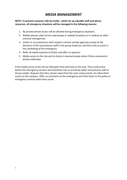#### *MEDIA MANAGEMENT*

#### **NOTE: To prevent nuisance calls by media - which tie up valuable staff and phone resources, all emergency situations will be managed in the following manner.**

- 1. No private phone access will be allowed during emergency situations.
- 2. Mobile phones shall not be used except in isolated locations or in medical or other extreme emergencies.
- 3. Under no circumstances shall campers contact outside agencies except at the direction of the Sunnystones staff or the group leader(s), and then only to assist in the combating of the emergency.
- 4. Refer all media inquiries to Police and offer no opinions
- 5. Media access to the site and to clients is banned except where Police and parents dictate otherwise

If the media arrive at the site by helicopter they will land on the oval. They could arrive before the emergency services and should be met on arrival by either Sunnystones staff or Group Leader. Request that they remain away from the main camp and do not allow them access to the campers. Offer no comment on the emergency and refer them to the police or emergency services when they arrive.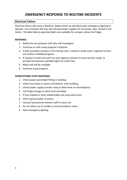#### *EMERGENCY RESPONSE TO ROUTINE INCIDENTS*

#### **Electrical Failure**

Electrical failure will cause a blackout. Battery back up will allow basic emergency lighting to operate. Loss of power will may also disrupt power supplies for all pumps, taps, showers and toilets. Portable battery operated lights are available for campers above the fridge.

#### **RESPONSE:**

- 1. Notify the Sunnystones staff who will investigate
- 2. Continue on with camp program if daytime
- 3. If dark assemble campers in the dining room, conduct a head count, organise torches and outline modified program.
- 4. If campers in bed visit each hut and organise campers to have torches ready, or provide Sunnystones portable lights for toilet trips
- 5. Meals will still be available
- 6. Continue camp program

#### **SUNNYSTONES STAFF RESPONSE:**

- 1. Check power point/light fitting in building
- 2. Check fuse boxes in pantry and behind main building.
- 3. Check power supply outside camp to determine an area blackout
- 4. Call Origin Energy to check fault and delay
- 5. If fuse tripped or fault undetectable call camp electrician
- 6. Inform group leader of action
- 7. Contact Sunnystones kitchen staff re menu etc.
- 8. Do not allow use of candles in accommodation areas.
- 9. Start emergency lighting.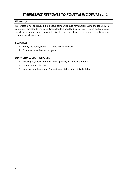#### **Water Loss**

Water loss is not an issue. If it did occur campers should refrain from using the toilets with gentlemen directed to the bush. Group leaders need to be aware of hygiene problems and direct the group members on which toilet to use. Tank storages will allow for continued use of water for all purposes.

#### **RESPONSE:**

- 1. Notify the Sunnystones staff who will investigate
- 2. Continue on with camp program

#### **SUNNYSTONES STAFF RESPONSE:**

- 1. Investigate, check power to pump, pumps, water levels in tanks.
- 2. Contact camp plumber
- 3. Inform group leader and Sunnystones kitchen staff of likely delay.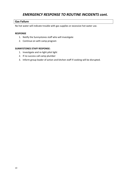#### **Gas Failure**

No hot water will indicate trouble with gas supplies or excessive hot water use.

#### **RESPONSE**

- 1. Notify the Sunnystones staff who will investigate
- 2. Continue on with camp program

#### **SUNNYSTONES STAFF RESPONSE:**

- 1. Investigate and re-light pilot light
- 2. If no success call camp plumber
- 3. Inform group leader of action and kitchen staff if cooking will be disrupted.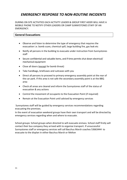DURING ON SITE ACTIVITIES EACH ACTIVITY LEADER & GROUP FIRST AIDER WILL HAVE A MOBILE PHONE TO NOTIFY OTHER LEADERS OR CAMP SUNNYSTONES STAFF OF AN **EMERGENCY** 

#### **General Evacuations**

- Observe and listen to determine the type of emergency that requires the evacuation i.e. bomb scare, chemical spill, large building fire, gas leak etc
- Notify all persons in the building to evacuate under instruction from Sunnystones staff
- Secure confidential and valuable items, and if time permits shut down electrical/ mechanical equipment
- Close all doors (except for bomb threat)
- Take handbags, briefcases and suitcases with you
- Direct all persons to proceed to primary emergency assembly point at the rear of the car park. If this area is not safe the secondary assembly point is at the BBQ area
- Check all areas are cleared and inform the Sunnystones staff of the status of evacuation & any actions
- Control the movement of occupants to the Evacuation Point (if required)
- Remain at the Evacuation Point until advised by emergency services

Sunnystones staff will be guided by emergency services recommendations regarding evacuating the premises.

In the event of evacuation weekend groups have their own transport and will be directed by emergency services regarding when and where to evacuate.

School groups: School groups when directed to will evacuate enmass. School staff firstly will contact their bus company they arrived with to organise transport. If unsuccessful Sunnystones staff or emergency services will call Bacchus Marsh coaches 53663444 to evacuate to the displan in either Bacchus Marsh or Melton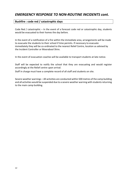#### **Bushfire : code red / catastrophic days**

Code Red / catastrophic – In the event of a forecast code red or catastrophic day, students would be evacuated to their homes the day before.

In the event of a notification of a fire within the immediate area, arrangements will be made to evacuate the students to their school if time permits. If necessary to evacuate immediately they will be co-ordinated to the nearest Relief Centre, location as advised by the Incident Controller or Moorabool Shire.

In the event of evacuation coaches will be available to transport students at late notice.

Staff will be expected to notify the school that they are evacuating and would register accordingly at the Relief centre upon arrival.

Staff in charge must have a complete record of all staff and students on site.

Severe weather warnings – All activities are conducted within 500 metres of the camp building and all activities would be suspended due to a severe weather warning with students returning to the main camp building.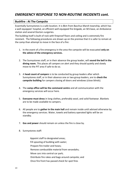#### **Bushfire : At The Campsite**

Essentially Sunnystones is a safe location. It is 8km from Bacchus Marsh township, which has a well equipped hospital, an efficient well equipped fire brigade, an SES base, an Ambulance station and several Doctors surgeries.

The building itself is built of rock with fireproof floors and ceiling and is extremely fire resistant. The following procedures are drawn up on the premise that it is safer to remain at the camp than attempt to move in the face of a fire:

- 1. In the event of a fire emergency in the area the campsite will be evacuated **only on the advice of the emergency services.**
- 2. The Sunnystones staff, or in their absence the group leader, will **sound the bell in the dining room.** This places all campers on alert and they should quietly and slowly move to the PIT area if safe to do so.
- 3. A **head count of campers** is to be conducted by group leaders after which Sunnystones staff, or in their absence one or two group leaders, are to **check the campsite building** for campers closing all doors and windows (close blinds).
- 4. The **camp office will be the command centre** and all communication with the emergency services will occur here.
- 5. **Everyone must dress** in long clothes, preferably wool, and solid footwear. Blankets are to be made available to campers.
- 6. All people are to **gather in the main hall** and remain inside until advised otherwise by the emergency services. Water, towels and battery operated lights will be on standby.
- 7. **Gas and power** should remain on unless the fire is close by.
- 8. Sunnystones staff:

Appoint staff to designated areas; Fill spouting of building with water; Prepare fire trailer and hoses; Remove combustible material from verandahs; Move cars into central car park; Distribute fire rakes and bags around campsite; and Once fire front has passed check for spot fires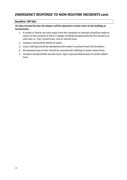#### **Bushfire: Off Site**

#### **On days of total fire ban all campers will be advised to remain close to the building at Sunnystones.**

- 1. If smoke or flames are seen away from the campsite no attempt should be made to return to the campsite if there is danger of being threatened by the fire retreat to a safe area i.e. river, broad track, rock or cleared area.
- 2. Campers should drink plenty of water.
- 3. Loose clothing should be dampened with water to protect head and shoulders.
- 4. All exposed areas of skin should be covered with clothing to avoid radiant heat.
- 5. Campers should shelter around rocks, logs or ground depressions to avoid radiant heat.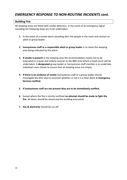#### **Building Fire**

All sleeping areas are fitted with smoke detectors. In the event of an emergency signal sounding the following steps are to be undertaken:

- **1.** In the event of a smoke alarm sounding alert the people in the room and contact an adult or group leader.
- **2. Sunnystones staff or a responsible adult or group leader** is to check the sleeping area being indicated by the alarm.
- **3. If smoke is present** in the sleeping area the accommodation rooms are to be evacuated in a quiet and orderly manner to the BBQ area where a head count will be undertaken. A **designated** group leader or Sunnystones staff member is to undertake individual room checks to ensure that all sleeping areas are empty.
- **4. If there is no evidence of smoke** Sunnystones staff or a group leader should investigate the [fire site] to ascertain whether or not it is a false alarm & **Emergency Services notified.**
- **5. If Sunnystones staff are not present they are to be immediately notified.**
- **6.** Except where the fire is strictly confined **no attempt should be made to fight the fire**. All doors should be closed and the building evacuated.
- **7. Gas & electricity** should be cut off.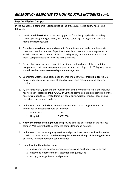#### **Lost Or Missing Camper:**

In the event that a camper is reported missing the procedures noted below need to be followed:

- 1. **Obtain a full description** of the missing person from the group leader including name, age, weight, height, build, hair and eye colouring, distinguishing physical marks and clothing worn.
- 2. **Organise a search party** comprising both Sunnystones staff and group leaders to cover and search a number of specified areas. Searchers are to be equipped with Mobile phones. Make a note of these search groups, their members and search areas. Campers should not be used in this capacity.
- 3. Ensure that someone in a responsible position is left in charge of the **remaining campers** and that these campers are given a variety of things to do. This group leader should also be able to receive telephone messages etc.
- 4. Coordinate watches and agree upon the maximum length of this **initial search** (30 mins). Upon reaching this time, all search groups must reassemble and confirm results.
- 5. If, after this initial, quick and thorough search of the immediate area, if the individual has not been located **call the POLICE on 000** and provide a detailed description of the missing camper, the estimated time last seen, any physical or medical aspects and the actions put in place to date.
- 6. In the event of an **underlying medical concern** with the missing individual the ambulance and hospital should be informed:
	- 1 Ambulance........................... 000
	- 2 Hospital..............................53672000
- 1. **Notify the immediate neighbours** and provide detailed description of the missing camper. Make sure that they know the campsite's phone number:
- 2. In the event that the emergency services and police have been introduced into the search, the group leader should **notifying the person in charge of their organisation** or school, so that the parents can be notified.
- 3. Upon **locating the missing camper**:
	- 1 ensure that the police, emergency services and neighbours are informed
	- 2 determine whether medical attention is required, and
	- 3 notify your organisation and parents.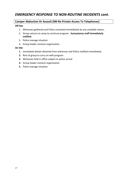#### **Camper Abduction Or Assault [NB No Private Access To Telephones]**

#### **Off Site**

- 1. Witnesses gathered and Police contacted immediately by any available means.
- 2. Group returns to camp to continue program. **Sunnystones staff immediately notified.**
- 3. Police manage situation
- 4. Group leader contacts organisation

#### **On Site**

- **1.** Immediate details obtained from witnesses and Police notified immediately
- **2.** Rest of group to carry on with program
- **3.** Witnesses held in office subject to police arrival
- **4.** Group leader contacts organisation
- **5.** Police manage situation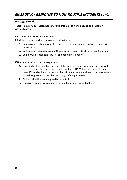#### **Hostage Situation**

#### **There is no single correct response for this problem, as it will depend on prevailing circumstances.**

#### **If In Direct Contact With Perpetrator:**

Principles to observe when confronted by situation:-

- 1. Remain calm and endeavour to reduce tension, particularly if in direct contact with perpetrator
- 2. Be flexible in response, humour the perpetrator and try to observe their behaviour
- 3. Comply with reasonable requests and negotiate if possible

#### **If Not In Direct Contact with Perpetrator:**

- **1.** Should a hostage situation develop at the camp all campers and staff not involved are to be immediately evacuated to the oval area. NOTE: Evacuation should only occur if it can be done in a manner that will not inflame the situation. All evacuations should be quiet and if possible out of sight of the perpetrator.
- **2.** Police notified immediately and take control**.**
- **3.** On advice from police campers remain at the oval or evacuated home.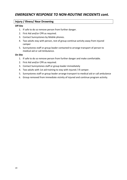#### **Injury / Illness/ Near Drowning**

#### **Off Site**

- 1. If safe to do so remove person from further danger.
- 2. First Aid and/or CPR as required.
- 3. Contact Sunnystones by Mobile phones.
- 4. Two adults stay with person, rest of group continue activity away from injured camper
- 5. Sunnystones staff or group leader contacted to arrange transport of person to medical aid or call Ambulance.

#### **On Site**

- 1. If safe to do so remove person from further danger and make comfortable.
- 2. First Aid and/or CPR as required.
- 3. Contact Sunnystones staff or group leader immediately
- 4. Two adults with 1st aid training to stay with injured / ill camper.
- 5. Sunnystones staff or group leader arrange transport to medical aid or call ambulance
- 6. Group removed from immediate vicinity of injured and continue program activity.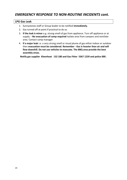#### **LPG Gas Leak**

- 1. Sunnystones staff or Group leader to be notified **immediately.**
- 2. Gas turned off at point if practical to do so.
- 3. **If the leak is minor** e.g. strong smell of gas from appliance. Turn off appliance or at supply. **- No evacuation of camp required** Isolate area from campers and ventilate area. Contact camp manager
- 4. **If a major leak** i.e. a very strong smell or visual plume of gas either indoor or outdoor then **evacuation must be considered. Remember - Gas is heavier than air and will flow downhill. Do not use vehicles to evacuate. The BBQ area provide the best assembly areas.**

**Notify gas supplier Kleenheat 132 180 and Gas Fitter 5367 1239 and police 000 .**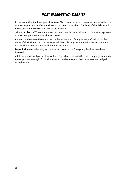#### *POST EMERGENCY DEBRIEF*

In the event that the Emergency Response Plan is enacted a post response debrief will occur as soon as practicable after the situation has been normalised. The level of this debrief will be determined by the seriousness of the incident.

**Minor incidents** - Where the matter has been handled internally and no injuries or apparent exposure to potential trauma has occurred.

A discussion between those involved in the incident and Sunnystones staff will occur. Diary notes of the incident and the response will be made. Any problems with the response and lessons that can be learned will be noted and adopted.

**Major Incidents** - Where injury, trauma has occurred or Emergency Services have been involved.

A full debrief with all parties involved and formal recommendations as to any adjustments to the response are sought from all interested parties. A report shall be written and lodged with the camp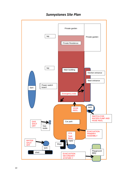

#### *Sunnystones Site Plan*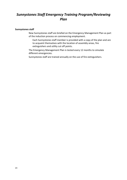#### *Sunnystones Staff Emergency Training Program/Reviewing Plan*

#### **Sunnystones staff**

New Sunnystones staff are briefed on the Emergency Management Plan as part of the induction process on commencing employment.

Each Sunnystones staff member is provided with a copy of the plan and are to acquaint themselves with the location of assembly areas, fire extinguishers and utility cut off points.

The Emergency Management Plan is tested every 12 months to simulate different emergencies.

Sunnystones staff are trained annually on the use of fire extinguishers.